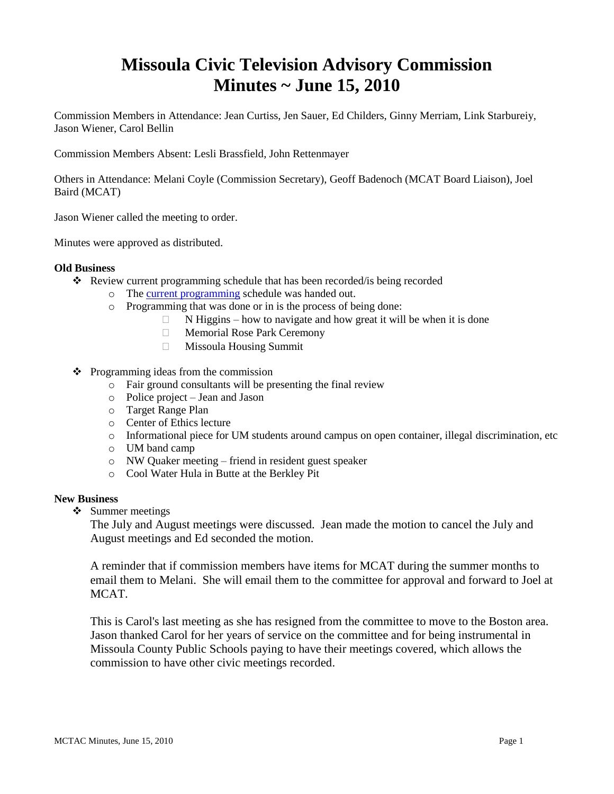# **Missoula Civic Television Advisory Commission Minutes ~ June 15, 2010**

Commission Members in Attendance: Jean Curtiss, Jen Sauer, Ed Childers, Ginny Merriam, Link Starbureiy, Jason Wiener, Carol Bellin

Commission Members Absent: Lesli Brassfield, John Rettenmayer

Others in Attendance: Melani Coyle (Commission Secretary), Geoff Badenoch (MCAT Board Liaison), Joel Baird (MCAT)

Jason Wiener called the meeting to order.

Minutes were approved as distributed.

## **Old Business**

- Review current programming schedule that has been recorded/is being recorded
	- o The [current programming](ftp://ftp.ci.missoula.mt.us/Documents/Mayor/GCCAC/2010/100615Programming.pdf) schedule was handed out.
	- o Programming that was done or in is the process of being done:
		- $\Box$  N Higgins how to navigate and how great it will be when it is done
		- Memorial Rose Park Ceremony
		- Missoula Housing Summit
- $\triangle$  Programming ideas from the commission
	- o Fair ground consultants will be presenting the final review
	- o Police project Jean and Jason
	- o Target Range Plan
	- o Center of Ethics lecture
	- o Informational piece for UM students around campus on open container, illegal discrimination, etc
	- o UM band camp
	- o NW Quaker meeting friend in resident guest speaker
	- o Cool Water Hula in Butte at the Berkley Pit

#### **New Business**

 $\div$  Summer meetings

The July and August meetings were discussed. Jean made the motion to cancel the July and August meetings and Ed seconded the motion.

A reminder that if commission members have items for MCAT during the summer months to email them to Melani. She will email them to the committee for approval and forward to Joel at MCAT.

This is Carol's last meeting as she has resigned from the committee to move to the Boston area. Jason thanked Carol for her years of service on the committee and for being instrumental in Missoula County Public Schools paying to have their meetings covered, which allows the commission to have other civic meetings recorded.